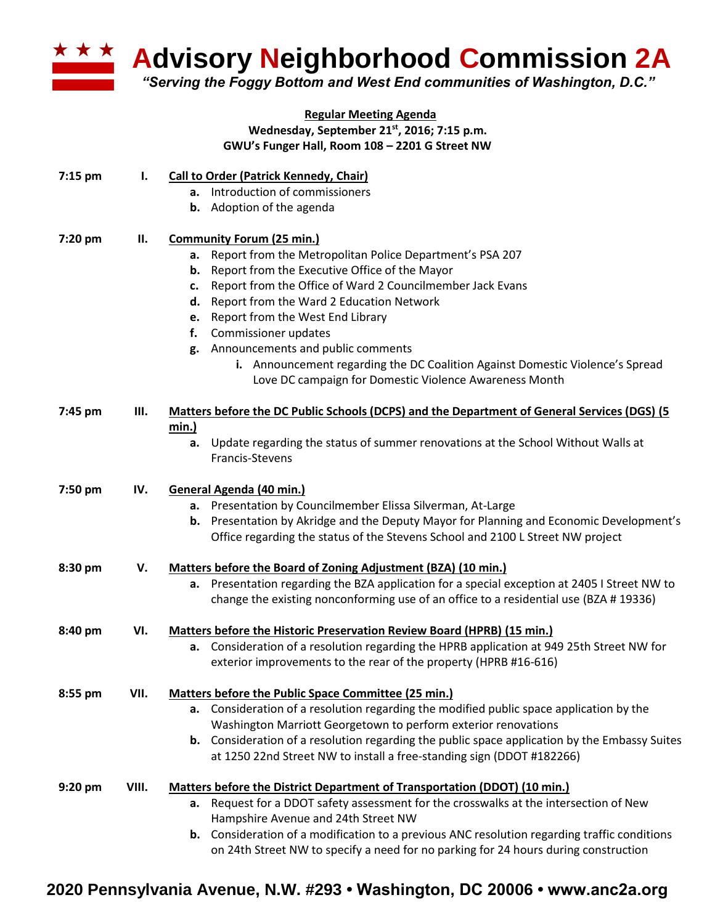

**Advisory Neighborhood Commission 2A** 

*"Serving the Foggy Bottom and West End communities of Washington, D.C."*

## **Regular Meeting Agenda Wednesday, September 21st, 2016; 7:15 p.m. GWU's Funger Hall, Room 108 – 2201 G Street NW**

| 7:15 pm | Ι.    | <b>Call to Order (Patrick Kennedy, Chair)</b>                                                                                           |
|---------|-------|-----------------------------------------------------------------------------------------------------------------------------------------|
|         |       | a. Introduction of commissioners                                                                                                        |
|         |       | <b>b.</b> Adoption of the agenda                                                                                                        |
| 7:20 pm | П.    | <b>Community Forum (25 min.)</b>                                                                                                        |
|         |       | Report from the Metropolitan Police Department's PSA 207<br>а.                                                                          |
|         |       | Report from the Executive Office of the Mayor<br>b.                                                                                     |
|         |       | Report from the Office of Ward 2 Councilmember Jack Evans<br>c.                                                                         |
|         |       | Report from the Ward 2 Education Network<br>d.                                                                                          |
|         |       | Report from the West End Library<br>е.                                                                                                  |
|         |       | Commissioner updates<br>f.                                                                                                              |
|         |       | g. Announcements and public comments                                                                                                    |
|         |       | i. Announcement regarding the DC Coalition Against Domestic Violence's Spread<br>Love DC campaign for Domestic Violence Awareness Month |
| 7:45 pm | Ш.    | Matters before the DC Public Schools (DCPS) and the Department of General Services (DGS) (5                                             |
|         |       | min.)                                                                                                                                   |
|         |       | Update regarding the status of summer renovations at the School Without Walls at<br>а.                                                  |
|         |       | Francis-Stevens                                                                                                                         |
|         |       |                                                                                                                                         |
| 7:50 pm | IV.   | General Agenda (40 min.)                                                                                                                |
|         |       | a. Presentation by Councilmember Elissa Silverman, At-Large                                                                             |
|         |       | <b>b.</b> Presentation by Akridge and the Deputy Mayor for Planning and Economic Development's                                          |
|         |       | Office regarding the status of the Stevens School and 2100 L Street NW project                                                          |
| 8:30 pm | V.    | Matters before the Board of Zoning Adjustment (BZA) (10 min.)                                                                           |
|         |       | a. Presentation regarding the BZA application for a special exception at 2405 I Street NW to                                            |
|         |       | change the existing nonconforming use of an office to a residential use (BZA #19336)                                                    |
| 8:40 pm | VI.   | Matters before the Historic Preservation Review Board (HPRB) (15 min.)                                                                  |
|         |       | a. Consideration of a resolution regarding the HPRB application at 949 25th Street NW for                                               |
|         |       | exterior improvements to the rear of the property (HPRB #16-616)                                                                        |
| 8:55 pm | VII.  | Matters before the Public Space Committee (25 min.)                                                                                     |
|         |       | a. Consideration of a resolution regarding the modified public space application by the                                                 |
|         |       | Washington Marriott Georgetown to perform exterior renovations                                                                          |
|         |       | <b>b.</b> Consideration of a resolution regarding the public space application by the Embassy Suites                                    |
|         |       | at 1250 22nd Street NW to install a free-standing sign (DDOT #182266)                                                                   |
| 9:20 pm | VIII. | Matters before the District Department of Transportation (DDOT) (10 min.)                                                               |
|         |       | a. Request for a DDOT safety assessment for the crosswalks at the intersection of New                                                   |
|         |       | Hampshire Avenue and 24th Street NW                                                                                                     |
|         |       | <b>b.</b> Consideration of a modification to a previous ANC resolution regarding traffic conditions                                     |
|         |       | on 24th Street NW to specify a need for no parking for 24 hours during construction                                                     |

## **2020 Pennsylvania Avenue, N.W. #293 • Washington, DC 20006 • www.anc2a.org**